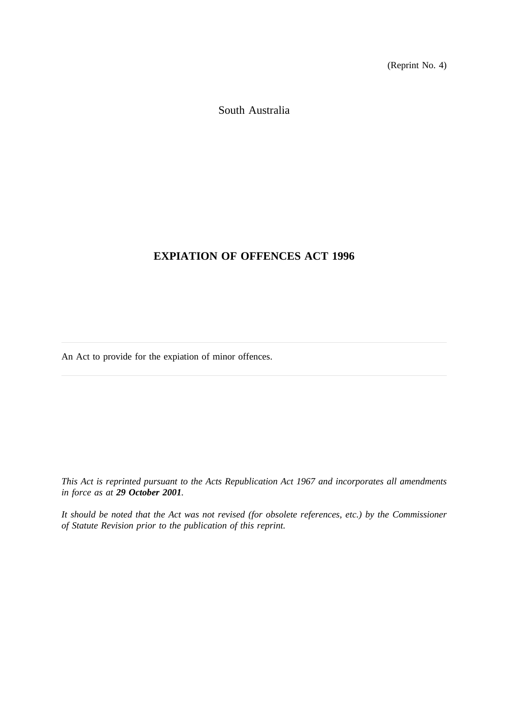(Reprint No. 4)

South Australia

# **EXPIATION OF OFFENCES ACT 1996**

An Act to provide for the expiation of minor offences.

*This Act is reprinted pursuant to the Acts Republication Act 1967 and incorporates all amendments in force as at 29 October 2001.*

*It should be noted that the Act was not revised (for obsolete references, etc.) by the Commissioner of Statute Revision prior to the publication of this reprint.*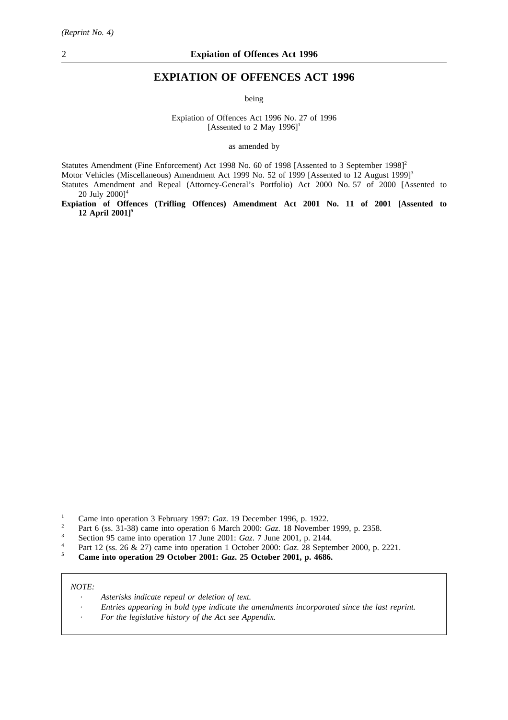## **EXPIATION OF OFFENCES ACT 1996**

being

Expiation of Offences Act 1996 No. 27 of 1996 [Assented to 2 May 1996]<sup>1</sup>

as amended by

Statutes Amendment (Fine Enforcement) Act 1998 No. 60 of 1998 [Assented to 3 September 1998]<sup>2</sup> Motor Vehicles (Miscellaneous) Amendment Act 1999 No. 52 of 1999 [Assented to 12 August 1999]<sup>3</sup> Statutes Amendment and Repeal (Attorney-General's Portfolio) Act 2000 No. 57 of 2000 [Assented to 20 July 2000]<sup>4</sup>

**Expiation of Offences (Trifling Offences) Amendment Act 2001 No. 11 of 2001 [Assented to 12 April 2001]5**

- <sup>2</sup> Part 6 (ss. 31-38) came into operation 6 March 2000: *Gaz*. 18 November 1999, p. 2358.<br>Section 95 came into operation 17 June 2001: *Gaz*. 7 June 2001, p. 2144
- <sup>3</sup> Section 95 came into operation 17 June 2001: *Gaz.* 7 June 2001, p. 2144.
- <sup>4</sup> Part 12 (ss. 26 & 27) came into operation 1 October 2000: *Gaz*. 28 September 2000, p. 2221.<br> **6** Came into operation 29 October 2001: *Gaz*, 25 October 2001, p. 4686
- **<sup>5</sup> Came into operation 29 October 2001:** *Gaz***. 25 October 2001, p. 4686.**

#### *NOTE:*

- $\overline{\phantom{a}}$ *Asterisks indicate repeal or deletion of text.*
- *Entries appearing in bold type indicate the amendments incorporated since the last reprint.*
- *For the legislative history of the Act see Appendix.*

<sup>&</sup>lt;sup>1</sup> Came into operation 3 February 1997: *Gaz*. 19 December 1996, p. 1922.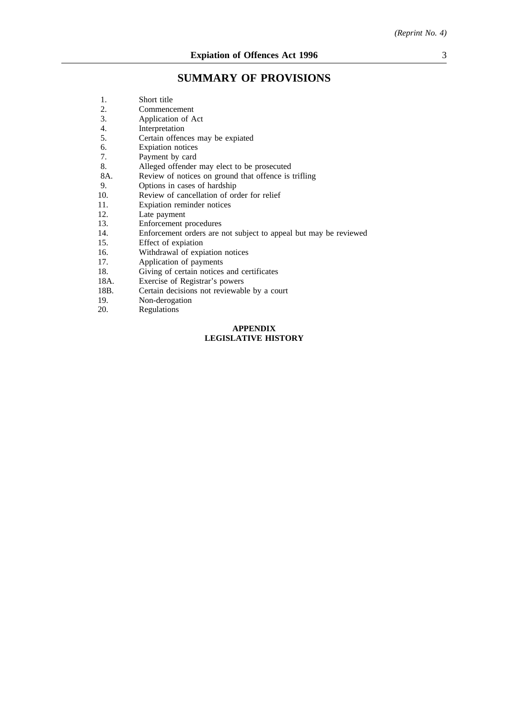# **SUMMARY OF PROVISIONS**

| 1.                         | Short title                                                      |  |  |
|----------------------------|------------------------------------------------------------------|--|--|
| 2.                         | Commencement                                                     |  |  |
| 3.                         | Application of Act                                               |  |  |
| 4.                         | Interpretation                                                   |  |  |
| 5.                         | Certain offences may be expiated                                 |  |  |
| 6.                         | Expiation notices                                                |  |  |
| 7.                         | Payment by card                                                  |  |  |
| 8.                         | Alleged offender may elect to be prosecuted                      |  |  |
| 8A.                        | Review of notices on ground that offence is trifling             |  |  |
| 9.                         | Options in cases of hardship                                     |  |  |
| 10.                        | Review of cancellation of order for relief                       |  |  |
| 11.                        | Expiation reminder notices                                       |  |  |
| 12.                        | Late payment                                                     |  |  |
| 13.                        | Enforcement procedures                                           |  |  |
| 14.                        | Enforcement orders are not subject to appeal but may be reviewed |  |  |
| 15.                        | Effect of expiation                                              |  |  |
| 16.                        | Withdrawal of expiation notices                                  |  |  |
| 17.                        | Application of payments                                          |  |  |
| 18.                        | Giving of certain notices and certificates                       |  |  |
| 18A.                       | Exercise of Registrar's powers                                   |  |  |
| 18B.                       | Certain decisions not reviewable by a court                      |  |  |
| 19.                        | Non-derogation                                                   |  |  |
| 20.                        | Regulations                                                      |  |  |
|                            | <b>APPENDIX</b>                                                  |  |  |
| <b>LEGISLATIVE HISTORY</b> |                                                                  |  |  |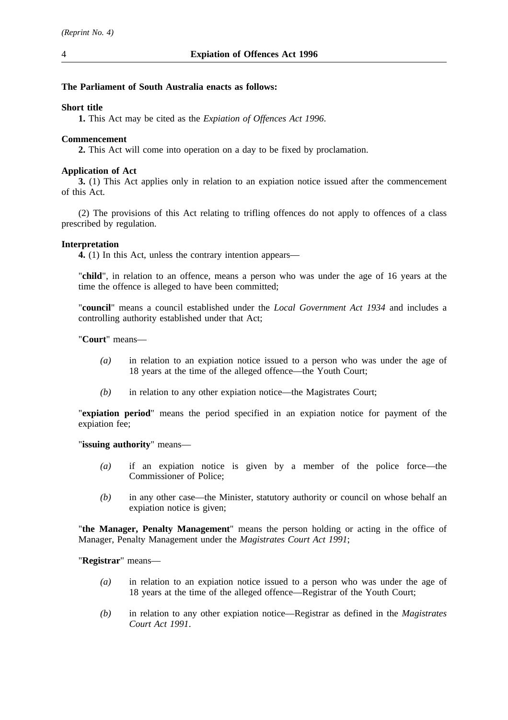## **The Parliament of South Australia enacts as follows:**

## **Short title**

**1.** This Act may be cited as the *Expiation of Offences Act 1996*.

## **Commencement**

**2.** This Act will come into operation on a day to be fixed by proclamation.

## **Application of Act**

**3.** (1) This Act applies only in relation to an expiation notice issued after the commencement of this Act.

(2) The provisions of this Act relating to trifling offences do not apply to offences of a class prescribed by regulation.

## **Interpretation**

**4.** (1) In this Act, unless the contrary intention appears—

"**child**", in relation to an offence, means a person who was under the age of 16 years at the time the offence is alleged to have been committed;

"**council**" means a council established under the *Local Government Act 1934* and includes a controlling authority established under that Act;

"**Court**" means—

- *(a)* in relation to an expiation notice issued to a person who was under the age of 18 years at the time of the alleged offence—the Youth Court;
- *(b)* in relation to any other expiation notice—the Magistrates Court;

"**expiation period**" means the period specified in an expiation notice for payment of the expiation fee;

"**issuing authority**" means—

- *(a)* if an expiation notice is given by a member of the police force—the Commissioner of Police;
- *(b)* in any other case—the Minister, statutory authority or council on whose behalf an expiation notice is given;

"**the Manager, Penalty Management**" means the person holding or acting in the office of Manager, Penalty Management under the *Magistrates Court Act 1991*;

"**Registrar**" means—

- *(a)* in relation to an expiation notice issued to a person who was under the age of 18 years at the time of the alleged offence—Registrar of the Youth Court;
- *(b)* in relation to any other expiation notice—Registrar as defined in the *Magistrates Court Act 1991*.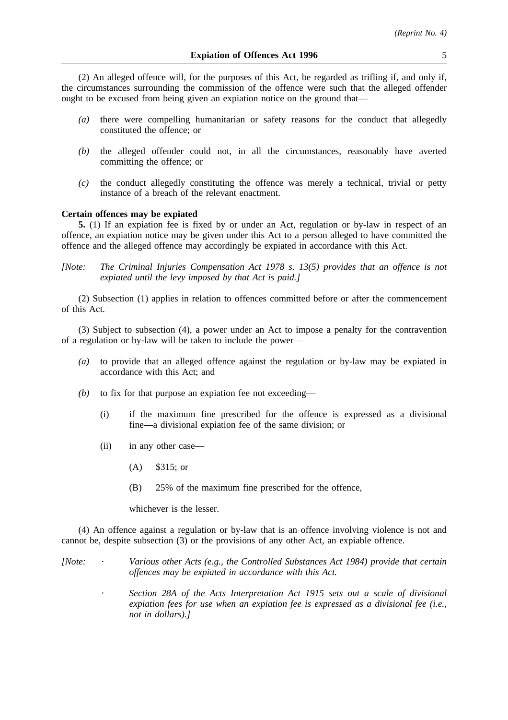(2) An alleged offence will, for the purposes of this Act, be regarded as trifling if, and only if, the circumstances surrounding the commission of the offence were such that the alleged offender ought to be excused from being given an expiation notice on the ground that—

- *(a)* there were compelling humanitarian or safety reasons for the conduct that allegedly constituted the offence; or
- *(b)* the alleged offender could not, in all the circumstances, reasonably have averted committing the offence; or
- *(c)* the conduct allegedly constituting the offence was merely a technical, trivial or petty instance of a breach of the relevant enactment.

#### **Certain offences may be expiated**

**5.** (1) If an expiation fee is fixed by or under an Act, regulation or by-law in respect of an offence, an expiation notice may be given under this Act to a person alleged to have committed the offence and the alleged offence may accordingly be expiated in accordance with this Act.

*[Note: The Criminal Injuries Compensation Act 1978 s. 13(5) provides that an offence is not expiated until the levy imposed by that Act is paid.]*

(2) Subsection (1) applies in relation to offences committed before or after the commencement of this Act.

(3) Subject to subsection (4), a power under an Act to impose a penalty for the contravention of a regulation or by-law will be taken to include the power—

- *(a)* to provide that an alleged offence against the regulation or by-law may be expiated in accordance with this Act; and
- *(b)* to fix for that purpose an expiation fee not exceeding—
	- (i) if the maximum fine prescribed for the offence is expressed as a divisional fine—a divisional expiation fee of the same division; or
	- (ii) in any other case—
		- (A) \$315; or
		- (B) 25% of the maximum fine prescribed for the offence,

whichever is the lesser.

(4) An offence against a regulation or by-law that is an offence involving violence is not and cannot be, despite subsection (3) or the provisions of any other Act, an expiable offence.

*[Note: Various other Acts (e.g., the Controlled Substances Act 1984) provide that certain offences may be expiated in accordance with this Act.*

> *Section 28A of the Acts Interpretation Act 1915 sets out a scale of divisional expiation fees for use when an expiation fee is expressed as a divisional fee (i.e., not in dollars).]*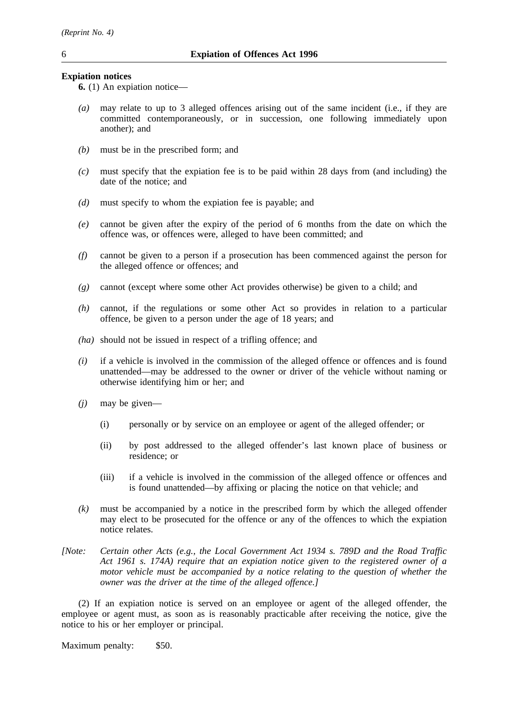## **Expiation notices**

**6.** (1) An expiation notice—

- *(a)* may relate to up to 3 alleged offences arising out of the same incident (i.e., if they are committed contemporaneously, or in succession, one following immediately upon another); and
- *(b)* must be in the prescribed form; and
- *(c)* must specify that the expiation fee is to be paid within 28 days from (and including) the date of the notice; and
- *(d)* must specify to whom the expiation fee is payable; and
- *(e)* cannot be given after the expiry of the period of 6 months from the date on which the offence was, or offences were, alleged to have been committed; and
- *(f)* cannot be given to a person if a prosecution has been commenced against the person for the alleged offence or offences; and
- *(g)* cannot (except where some other Act provides otherwise) be given to a child; and
- *(h)* cannot, if the regulations or some other Act so provides in relation to a particular offence, be given to a person under the age of 18 years; and
- *(ha)* should not be issued in respect of a trifling offence; and
- *(i)* if a vehicle is involved in the commission of the alleged offence or offences and is found unattended—may be addressed to the owner or driver of the vehicle without naming or otherwise identifying him or her; and
- *(j)* may be given—
	- (i) personally or by service on an employee or agent of the alleged offender; or
	- (ii) by post addressed to the alleged offender's last known place of business or residence; or
	- (iii) if a vehicle is involved in the commission of the alleged offence or offences and is found unattended—by affixing or placing the notice on that vehicle; and
- *(k)* must be accompanied by a notice in the prescribed form by which the alleged offender may elect to be prosecuted for the offence or any of the offences to which the expiation notice relates.
- *[Note: Certain other Acts (e.g., the Local Government Act 1934 s. 789D and the Road Traffic Act 1961 s. 174A) require that an expiation notice given to the registered owner of a motor vehicle must be accompanied by a notice relating to the question of whether the owner was the driver at the time of the alleged offence.]*

(2) If an expiation notice is served on an employee or agent of the alleged offender, the employee or agent must, as soon as is reasonably practicable after receiving the notice, give the notice to his or her employer or principal.

Maximum penalty: \$50.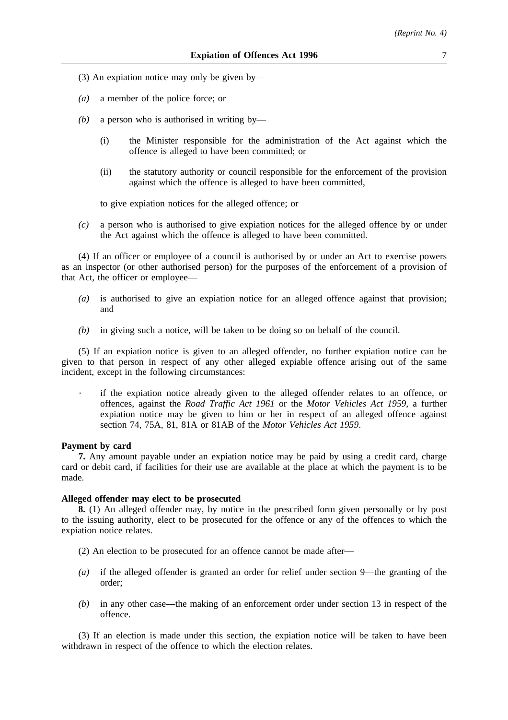- (3) An expiation notice may only be given by—
- *(a)* a member of the police force; or
- *(b)* a person who is authorised in writing by—
	- (i) the Minister responsible for the administration of the Act against which the offence is alleged to have been committed; or
	- (ii) the statutory authority or council responsible for the enforcement of the provision against which the offence is alleged to have been committed,

to give expiation notices for the alleged offence; or

*(c)* a person who is authorised to give expiation notices for the alleged offence by or under the Act against which the offence is alleged to have been committed.

(4) If an officer or employee of a council is authorised by or under an Act to exercise powers as an inspector (or other authorised person) for the purposes of the enforcement of a provision of that Act, the officer or employee—

- *(a)* is authorised to give an expiation notice for an alleged offence against that provision; and
- *(b)* in giving such a notice, will be taken to be doing so on behalf of the council.

(5) If an expiation notice is given to an alleged offender, no further expiation notice can be given to that person in respect of any other alleged expiable offence arising out of the same incident, except in the following circumstances:

if the expiation notice already given to the alleged offender relates to an offence, or offences, against the *Road Traffic Act 1961* or the *Motor Vehicles Act 1959*, a further expiation notice may be given to him or her in respect of an alleged offence against section 74, 75A, 81, 81A or 81AB of the *Motor Vehicles Act 1959*.

## **Payment by card**

**7.** Any amount payable under an expiation notice may be paid by using a credit card, charge card or debit card, if facilities for their use are available at the place at which the payment is to be made.

#### **Alleged offender may elect to be prosecuted**

**8.** (1) An alleged offender may, by notice in the prescribed form given personally or by post to the issuing authority, elect to be prosecuted for the offence or any of the offences to which the expiation notice relates.

- (2) An election to be prosecuted for an offence cannot be made after—
- *(a)* if the alleged offender is granted an order for relief under section 9—the granting of the order;
- *(b)* in any other case—the making of an enforcement order under section 13 in respect of the offence.

(3) If an election is made under this section, the expiation notice will be taken to have been withdrawn in respect of the offence to which the election relates.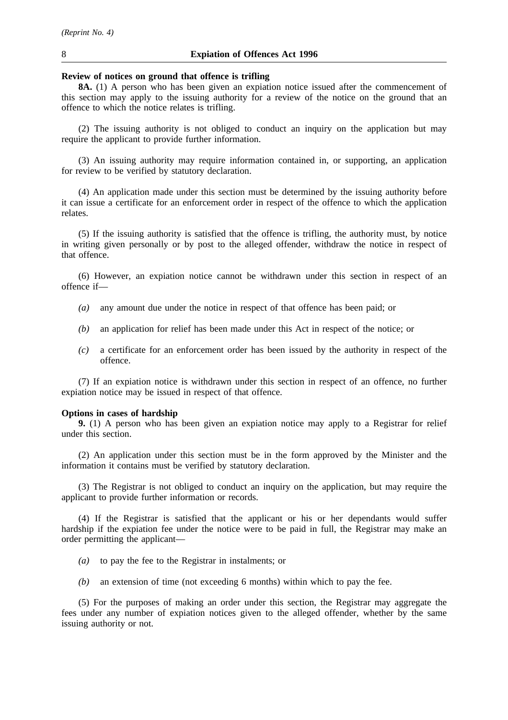#### **Review of notices on ground that offence is trifling**

**8A.** (1) A person who has been given an expiation notice issued after the commencement of this section may apply to the issuing authority for a review of the notice on the ground that an offence to which the notice relates is trifling.

(2) The issuing authority is not obliged to conduct an inquiry on the application but may require the applicant to provide further information.

(3) An issuing authority may require information contained in, or supporting, an application for review to be verified by statutory declaration.

(4) An application made under this section must be determined by the issuing authority before it can issue a certificate for an enforcement order in respect of the offence to which the application relates.

(5) If the issuing authority is satisfied that the offence is trifling, the authority must, by notice in writing given personally or by post to the alleged offender, withdraw the notice in respect of that offence.

(6) However, an expiation notice cannot be withdrawn under this section in respect of an offence if—

- *(a)* any amount due under the notice in respect of that offence has been paid; or
- *(b)* an application for relief has been made under this Act in respect of the notice; or
- *(c)* a certificate for an enforcement order has been issued by the authority in respect of the offence.

(7) If an expiation notice is withdrawn under this section in respect of an offence, no further expiation notice may be issued in respect of that offence.

#### **Options in cases of hardship**

**9.** (1) A person who has been given an expiation notice may apply to a Registrar for relief under this section.

(2) An application under this section must be in the form approved by the Minister and the information it contains must be verified by statutory declaration.

(3) The Registrar is not obliged to conduct an inquiry on the application, but may require the applicant to provide further information or records.

(4) If the Registrar is satisfied that the applicant or his or her dependants would suffer hardship if the expiation fee under the notice were to be paid in full, the Registrar may make an order permitting the applicant—

- *(a)* to pay the fee to the Registrar in instalments; or
- *(b)* an extension of time (not exceeding 6 months) within which to pay the fee.

(5) For the purposes of making an order under this section, the Registrar may aggregate the fees under any number of expiation notices given to the alleged offender, whether by the same issuing authority or not.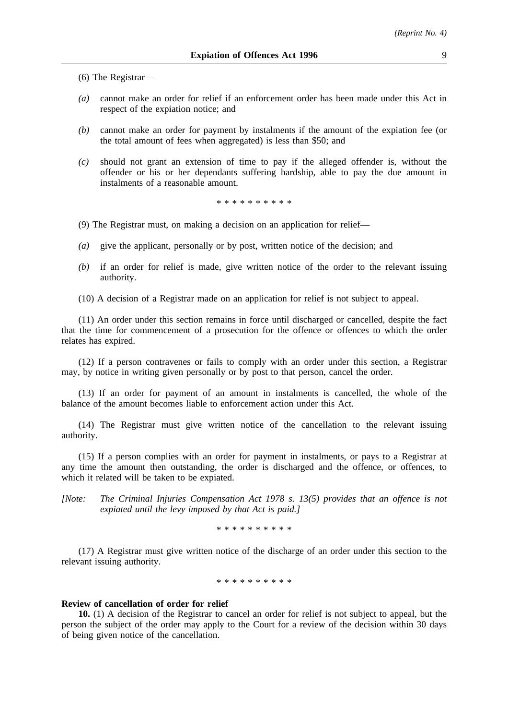(6) The Registrar—

- *(a)* cannot make an order for relief if an enforcement order has been made under this Act in respect of the expiation notice; and
- *(b)* cannot make an order for payment by instalments if the amount of the expiation fee (or the total amount of fees when aggregated) is less than \$50; and
- *(c)* should not grant an extension of time to pay if the alleged offender is, without the offender or his or her dependants suffering hardship, able to pay the due amount in instalments of a reasonable amount.

\*\*\*\*\*\*\*\*\*\*

- (9) The Registrar must, on making a decision on an application for relief—
- *(a)* give the applicant, personally or by post, written notice of the decision; and
- *(b)* if an order for relief is made, give written notice of the order to the relevant issuing authority.
- (10) A decision of a Registrar made on an application for relief is not subject to appeal.

(11) An order under this section remains in force until discharged or cancelled, despite the fact that the time for commencement of a prosecution for the offence or offences to which the order relates has expired.

(12) If a person contravenes or fails to comply with an order under this section, a Registrar may, by notice in writing given personally or by post to that person, cancel the order.

(13) If an order for payment of an amount in instalments is cancelled, the whole of the balance of the amount becomes liable to enforcement action under this Act.

(14) The Registrar must give written notice of the cancellation to the relevant issuing authority.

(15) If a person complies with an order for payment in instalments, or pays to a Registrar at any time the amount then outstanding, the order is discharged and the offence, or offences, to which it related will be taken to be expiated.

*[Note: The Criminal Injuries Compensation Act 1978 s. 13(5) provides that an offence is not expiated until the levy imposed by that Act is paid.]*

\*\*\*\*\*\*\*\*\*\*

(17) A Registrar must give written notice of the discharge of an order under this section to the relevant issuing authority.

\* \* \* \* \* \* \* \* \*

## **Review of cancellation of order for relief**

**10.** (1) A decision of the Registrar to cancel an order for relief is not subject to appeal, but the person the subject of the order may apply to the Court for a review of the decision within 30 days of being given notice of the cancellation.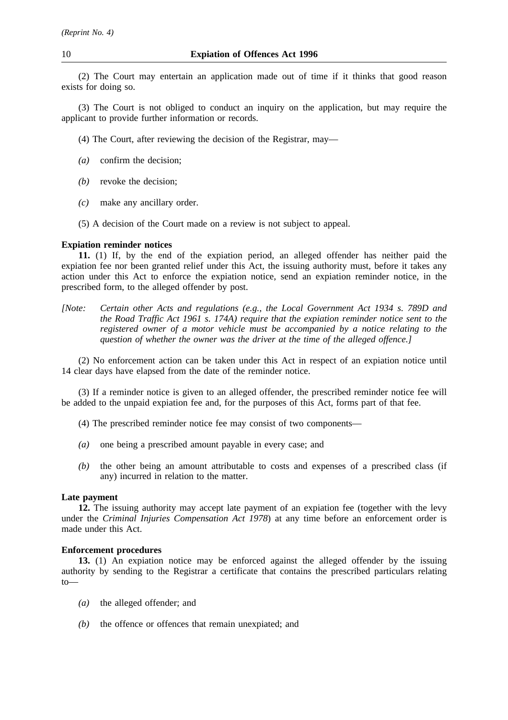(2) The Court may entertain an application made out of time if it thinks that good reason exists for doing so.

(3) The Court is not obliged to conduct an inquiry on the application, but may require the applicant to provide further information or records.

- (4) The Court, after reviewing the decision of the Registrar, may—
- *(a)* confirm the decision;
- *(b)* revoke the decision;
- *(c)* make any ancillary order.
- (5) A decision of the Court made on a review is not subject to appeal.

## **Expiation reminder notices**

**11.** (1) If, by the end of the expiation period, an alleged offender has neither paid the expiation fee nor been granted relief under this Act, the issuing authority must, before it takes any action under this Act to enforce the expiation notice, send an expiation reminder notice, in the prescribed form, to the alleged offender by post.

*[Note: Certain other Acts and regulations (e.g., the Local Government Act 1934 s. 789D and the Road Traffic Act 1961 s. 174A) require that the expiation reminder notice sent to the registered owner of a motor vehicle must be accompanied by a notice relating to the question of whether the owner was the driver at the time of the alleged offence.]*

(2) No enforcement action can be taken under this Act in respect of an expiation notice until 14 clear days have elapsed from the date of the reminder notice.

(3) If a reminder notice is given to an alleged offender, the prescribed reminder notice fee will be added to the unpaid expiation fee and, for the purposes of this Act, forms part of that fee.

- (4) The prescribed reminder notice fee may consist of two components—
- *(a)* one being a prescribed amount payable in every case; and
- *(b)* the other being an amount attributable to costs and expenses of a prescribed class (if any) incurred in relation to the matter.

#### **Late payment**

**12.** The issuing authority may accept late payment of an expiation fee (together with the levy under the *Criminal Injuries Compensation Act 1978*) at any time before an enforcement order is made under this Act.

#### **Enforcement procedures**

**13.** (1) An expiation notice may be enforced against the alleged offender by the issuing authority by sending to the Registrar a certificate that contains the prescribed particulars relating to—

- *(a)* the alleged offender; and
- *(b)* the offence or offences that remain unexpiated; and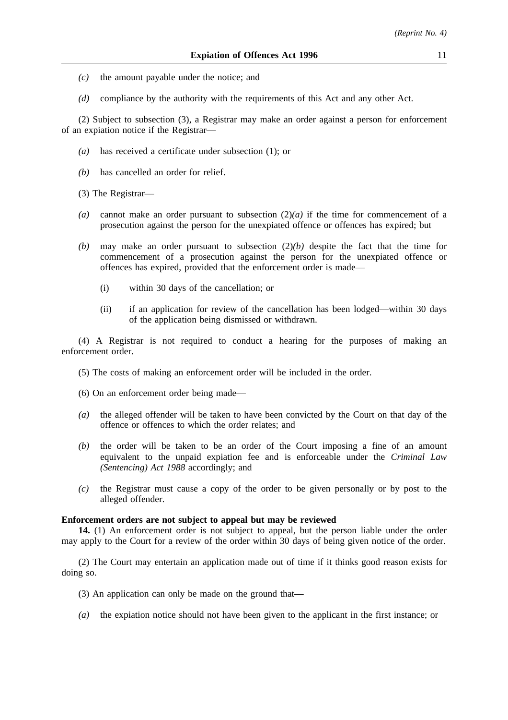- *(c)* the amount payable under the notice; and
- *(d)* compliance by the authority with the requirements of this Act and any other Act.

(2) Subject to subsection (3), a Registrar may make an order against a person for enforcement of an expiation notice if the Registrar—

- *(a)* has received a certificate under subsection (1); or
- *(b)* has cancelled an order for relief.
- (3) The Registrar—
- *(a)* cannot make an order pursuant to subsection (2)*(a)* if the time for commencement of a prosecution against the person for the unexpiated offence or offences has expired; but
- *(b)* may make an order pursuant to subsection (2)*(b)* despite the fact that the time for commencement of a prosecution against the person for the unexpiated offence or offences has expired, provided that the enforcement order is made—
	- (i) within 30 days of the cancellation; or
	- (ii) if an application for review of the cancellation has been lodged—within 30 days of the application being dismissed or withdrawn.

(4) A Registrar is not required to conduct a hearing for the purposes of making an enforcement order.

- (5) The costs of making an enforcement order will be included in the order.
- (6) On an enforcement order being made—
- *(a)* the alleged offender will be taken to have been convicted by the Court on that day of the offence or offences to which the order relates; and
- *(b)* the order will be taken to be an order of the Court imposing a fine of an amount equivalent to the unpaid expiation fee and is enforceable under the *Criminal Law (Sentencing) Act 1988* accordingly; and
- *(c)* the Registrar must cause a copy of the order to be given personally or by post to the alleged offender.

## **Enforcement orders are not subject to appeal but may be reviewed**

**14.** (1) An enforcement order is not subject to appeal, but the person liable under the order may apply to the Court for a review of the order within 30 days of being given notice of the order.

(2) The Court may entertain an application made out of time if it thinks good reason exists for doing so.

- (3) An application can only be made on the ground that—
- *(a)* the expiation notice should not have been given to the applicant in the first instance; or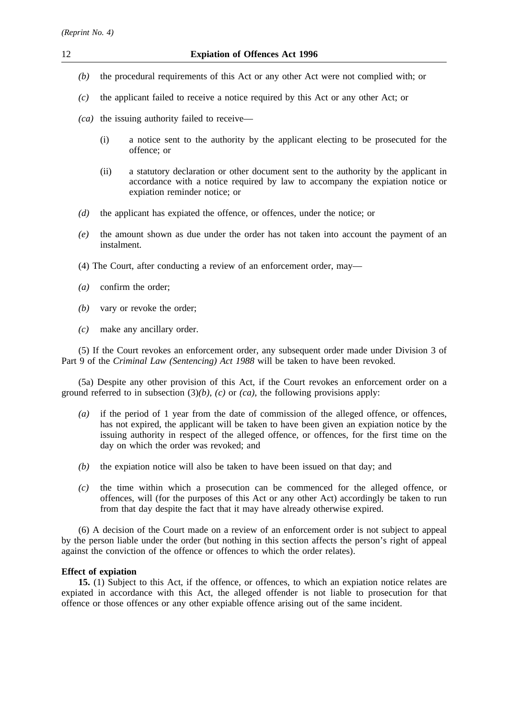- *(b)* the procedural requirements of this Act or any other Act were not complied with; or
- *(c)* the applicant failed to receive a notice required by this Act or any other Act; or
- *(ca)* the issuing authority failed to receive—
	- (i) a notice sent to the authority by the applicant electing to be prosecuted for the offence; or
	- (ii) a statutory declaration or other document sent to the authority by the applicant in accordance with a notice required by law to accompany the expiation notice or expiation reminder notice; or
- *(d)* the applicant has expiated the offence, or offences, under the notice; or
- *(e)* the amount shown as due under the order has not taken into account the payment of an instalment.
- (4) The Court, after conducting a review of an enforcement order, may—
- *(a)* confirm the order;
- *(b)* vary or revoke the order;
- *(c)* make any ancillary order.

(5) If the Court revokes an enforcement order, any subsequent order made under Division 3 of Part 9 of the *Criminal Law (Sentencing) Act 1988* will be taken to have been revoked.

(5a) Despite any other provision of this Act, if the Court revokes an enforcement order on a ground referred to in subsection  $(3)(b)$ ,  $(c)$  or  $(ca)$ , the following provisions apply:

- *(a)* if the period of 1 year from the date of commission of the alleged offence, or offences, has not expired, the applicant will be taken to have been given an expiation notice by the issuing authority in respect of the alleged offence, or offences, for the first time on the day on which the order was revoked; and
- *(b)* the expiation notice will also be taken to have been issued on that day; and
- *(c)* the time within which a prosecution can be commenced for the alleged offence, or offences, will (for the purposes of this Act or any other Act) accordingly be taken to run from that day despite the fact that it may have already otherwise expired.

(6) A decision of the Court made on a review of an enforcement order is not subject to appeal by the person liable under the order (but nothing in this section affects the person's right of appeal against the conviction of the offence or offences to which the order relates).

# **Effect of expiation**

**15.** (1) Subject to this Act, if the offence, or offences, to which an expiation notice relates are expiated in accordance with this Act, the alleged offender is not liable to prosecution for that offence or those offences or any other expiable offence arising out of the same incident.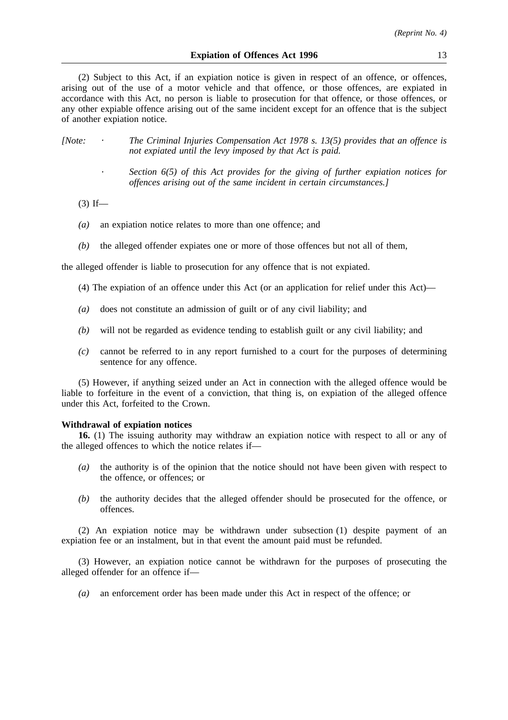(2) Subject to this Act, if an expiation notice is given in respect of an offence, or offences, arising out of the use of a motor vehicle and that offence, or those offences, are expiated in accordance with this Act, no person is liable to prosecution for that offence, or those offences, or any other expiable offence arising out of the same incident except for an offence that is the subject of another expiation notice.

| [Note: | The Criminal Injuries Compensation Act 1978 s. 13(5) provides that an offence is |
|--------|----------------------------------------------------------------------------------|
|        | not expiated until the levy imposed by that Act is paid.                         |

- *Section 6(5) of this Act provides for the giving of further expiation notices for offences arising out of the same incident in certain circumstances.]*
- $(3)$  If—
- *(a)* an expiation notice relates to more than one offence; and
- *(b)* the alleged offender expiates one or more of those offences but not all of them,

the alleged offender is liable to prosecution for any offence that is not expiated.

- (4) The expiation of an offence under this Act (or an application for relief under this Act)—
- *(a)* does not constitute an admission of guilt or of any civil liability; and
- *(b)* will not be regarded as evidence tending to establish guilt or any civil liability; and
- *(c)* cannot be referred to in any report furnished to a court for the purposes of determining sentence for any offence.

(5) However, if anything seized under an Act in connection with the alleged offence would be liable to forfeiture in the event of a conviction, that thing is, on expiation of the alleged offence under this Act, forfeited to the Crown.

#### **Withdrawal of expiation notices**

**16.** (1) The issuing authority may withdraw an expiation notice with respect to all or any of the alleged offences to which the notice relates if—

- *(a)* the authority is of the opinion that the notice should not have been given with respect to the offence, or offences; or
- *(b)* the authority decides that the alleged offender should be prosecuted for the offence, or offences.

(2) An expiation notice may be withdrawn under subsection (1) despite payment of an expiation fee or an instalment, but in that event the amount paid must be refunded.

(3) However, an expiation notice cannot be withdrawn for the purposes of prosecuting the alleged offender for an offence if—

*(a)* an enforcement order has been made under this Act in respect of the offence; or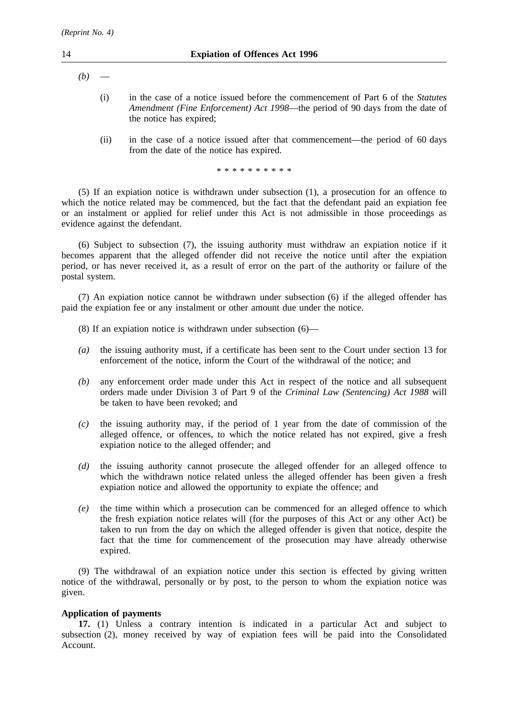- $(b)$ 
	- (i) in the case of a notice issued before the commencement of Part 6 of the *Statutes Amendment (Fine Enforcement) Act 1998*—the period of 90 days from the date of the notice has expired;
	- (ii) in the case of a notice issued after that commencement—the period of 60 days from the date of the notice has expired.

\*\*\*\*\*\*\*\*\*\*

(5) If an expiation notice is withdrawn under subsection (1), a prosecution for an offence to which the notice related may be commenced, but the fact that the defendant paid an expiation fee or an instalment or applied for relief under this Act is not admissible in those proceedings as evidence against the defendant.

(6) Subject to subsection (7), the issuing authority must withdraw an expiation notice if it becomes apparent that the alleged offender did not receive the notice until after the expiation period, or has never received it, as a result of error on the part of the authority or failure of the postal system.

(7) An expiation notice cannot be withdrawn under subsection (6) if the alleged offender has paid the expiation fee or any instalment or other amount due under the notice.

- (8) If an expiation notice is withdrawn under subsection (6)—
- *(a)* the issuing authority must, if a certificate has been sent to the Court under section 13 for enforcement of the notice, inform the Court of the withdrawal of the notice; and
- *(b)* any enforcement order made under this Act in respect of the notice and all subsequent orders made under Division 3 of Part 9 of the *Criminal Law (Sentencing) Act 1988* will be taken to have been revoked; and
- *(c)* the issuing authority may, if the period of 1 year from the date of commission of the alleged offence, or offences, to which the notice related has not expired, give a fresh expiation notice to the alleged offender; and
- *(d)* the issuing authority cannot prosecute the alleged offender for an alleged offence to which the withdrawn notice related unless the alleged offender has been given a fresh expiation notice and allowed the opportunity to expiate the offence; and
- *(e)* the time within which a prosecution can be commenced for an alleged offence to which the fresh expiation notice relates will (for the purposes of this Act or any other Act) be taken to run from the day on which the alleged offender is given that notice, despite the fact that the time for commencement of the prosecution may have already otherwise expired.

(9) The withdrawal of an expiation notice under this section is effected by giving written notice of the withdrawal, personally or by post, to the person to whom the expiation notice was given.

## **Application of payments**

**17.** (1) Unless a contrary intention is indicated in a particular Act and subject to subsection (2), money received by way of expiation fees will be paid into the Consolidated Account.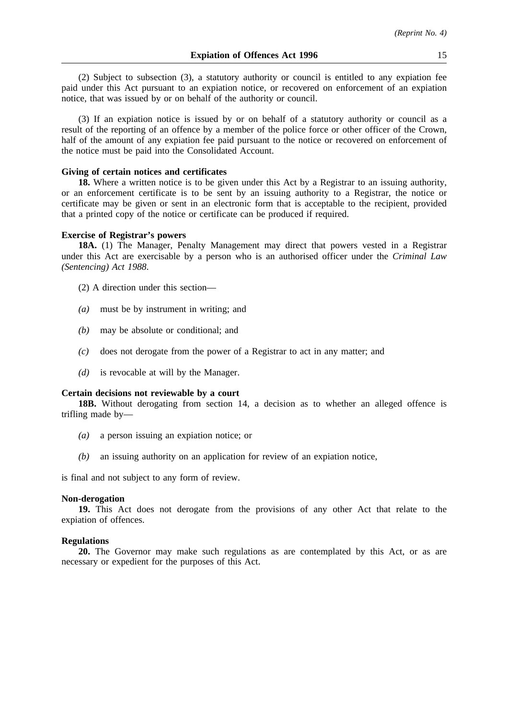(2) Subject to subsection (3), a statutory authority or council is entitled to any expiation fee paid under this Act pursuant to an expiation notice, or recovered on enforcement of an expiation notice, that was issued by or on behalf of the authority or council.

(3) If an expiation notice is issued by or on behalf of a statutory authority or council as a result of the reporting of an offence by a member of the police force or other officer of the Crown, half of the amount of any expiation fee paid pursuant to the notice or recovered on enforcement of the notice must be paid into the Consolidated Account.

### **Giving of certain notices and certificates**

**18.** Where a written notice is to be given under this Act by a Registrar to an issuing authority, or an enforcement certificate is to be sent by an issuing authority to a Registrar, the notice or certificate may be given or sent in an electronic form that is acceptable to the recipient, provided that a printed copy of the notice or certificate can be produced if required.

#### **Exercise of Registrar's powers**

**18A.** (1) The Manager, Penalty Management may direct that powers vested in a Registrar under this Act are exercisable by a person who is an authorised officer under the *Criminal Law (Sentencing) Act 1988*.

- (2) A direction under this section—
- *(a)* must be by instrument in writing; and
- *(b)* may be absolute or conditional; and
- *(c)* does not derogate from the power of a Registrar to act in any matter; and
- *(d)* is revocable at will by the Manager.

#### **Certain decisions not reviewable by a court**

**18B.** Without derogating from section 14, a decision as to whether an alleged offence is trifling made by—

- *(a)* a person issuing an expiation notice; or
- *(b)* an issuing authority on an application for review of an expiation notice,

is final and not subject to any form of review.

#### **Non-derogation**

**19.** This Act does not derogate from the provisions of any other Act that relate to the expiation of offences.

## **Regulations**

**20.** The Governor may make such regulations as are contemplated by this Act, or as are necessary or expedient for the purposes of this Act.